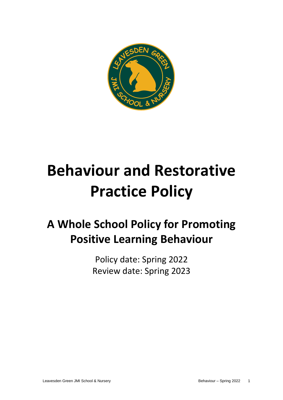

# **Behaviour and Restorative Practice Policy**

# **A Whole School Policy for Promoting Positive Learning Behaviour**

Policy date: Spring 2022 Review date: Spring 2023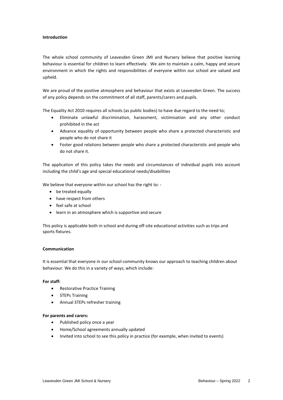# **Introduction**

The whole school community of Leavesden Green JMI and Nursery believe that positive learning behaviour is essential for children to learn effectively. We aim to maintain a calm, happy and secure environment in which the rights and responsibilities of everyone within our school are valued and upheld.

We are proud of the positive atmosphere and behaviour that exists at Leavesden Green. The success of any policy depends on the commitment of all staff, parents/carers and pupils.

The Equality Act 2010 requires all schools (as public bodies) to have due regard to the need to;

- Eliminate unlawful discrimination, harassment, victimisation and any other conduct prohibited in the act
- Advance equality of opportunity between people who share a protected characteristic and people who do not share it
- Foster good relations between people who share a protected characteristic and people who do not share it.

The application of this policy takes the needs and circumstances of individual pupils into account including the child's age and special educational needs/disabilities

We believe that everyone within our school has the right to: -

- be treated equally
- have respect from others
- feel safe at school
- learn in an atmosphere which is supportive and secure

This policy is applicable both in school and during off-site educational activities such as trips and sports fixtures.

#### **Communication**

It is essential that everyone in our school community knows our approach to teaching children about behaviour. We do this in a variety of ways, which include:

#### **For staff:**

- Restorative Practice Training
- STEPs Training
- Annual STEPs refresher training

#### **For parents and carers:**

- Published policy once a year
- Home/School agreements annually updated
- Invited into school to see this policy in practice (for example, when invited to events)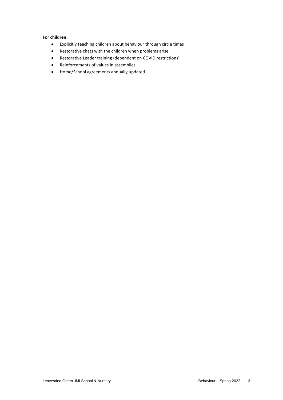# **For children:**

- Explicitly teaching children about behaviour through circle times
- Restorative chats with the children when problems arise
- Restorative Leader training (dependent on COVID restrictions)
- Reinforcements of values in assemblies
- Home/School agreements annually updated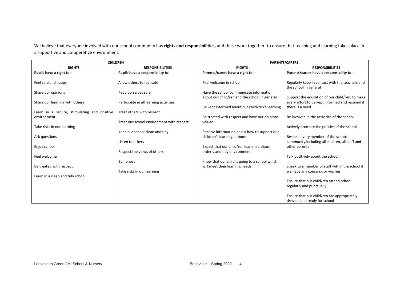We believe that everyone involved with our school community has **rights and responsibilities,** and these work together, to ensure that teaching and learning takes place in a supportive and co-operative environment.

| <b>CHILDREN</b>                             |                                           | <b>PARENTS/CARERS</b>                                   |                                                                                                    |
|---------------------------------------------|-------------------------------------------|---------------------------------------------------------|----------------------------------------------------------------------------------------------------|
| <b>RIGHTS</b>                               | <b>RESPONSIBILITIES</b>                   | <b>RIGHTS</b>                                           | <b>RESPONSIBILITIES</b>                                                                            |
| Pupils have a right to:-                    | Pupils have a responsibility to:          | Parents/carers have a right to:-                        | Parents/carers have a responsibility to:-                                                          |
| Feel safe and happy                         | Allow others to feel safe                 | Feel welcome in school                                  | Regularly keep in contact with the teachers and<br>the school in general                           |
| Share our opinions                          | Keep ourselves safe                       | Have the school communicate information                 |                                                                                                    |
| Share our learning with others              | Participate in all learning activities    | about our child/ren and the school in general           | Support the education of our child/ren, to make<br>every effort to be kept informed and respond if |
|                                             |                                           | Be kept informed about our child/ren's learning         | there is a need                                                                                    |
| Learn in a secure, stimulating and positive | Treat others with respect                 |                                                         | Be involved in the activities of the school                                                        |
| environment                                 | Treat our school environment with respect | Be treated with respect and have our opinions<br>valued |                                                                                                    |
| Take risks in our learning                  |                                           |                                                         | Actively promote the policies of the school                                                        |
|                                             | Keep our school clean and tidy            | Receive information about how to support our            |                                                                                                    |
| Ask questions                               |                                           | children's learning at home                             | Respect every member of the school                                                                 |
|                                             | Listen to others                          |                                                         | community including all children, all staff and                                                    |
| Enjoy school                                |                                           | Expect that our child/ren learn in a clean,             | other parents                                                                                      |
|                                             | Respect the views of others               | orderly and tidy environment                            |                                                                                                    |
| Feel welcome                                |                                           |                                                         | Talk positively about the school                                                                   |
|                                             | Be honest                                 | Know that our child is going to a school which          |                                                                                                    |
| Be treated with respect                     |                                           | will meet their learning needs                          | Speak to a member of staff within the school if                                                    |
|                                             | Take risks in our learning                |                                                         | we have any concerns or worries                                                                    |
| Learn in a clean and tidy school            |                                           |                                                         |                                                                                                    |
|                                             |                                           |                                                         | Ensure that our child/ren attend school                                                            |
|                                             |                                           |                                                         | regularly and punctually                                                                           |
|                                             |                                           |                                                         | Ensure that our child/ren are appropriately<br>dressed and ready for school                        |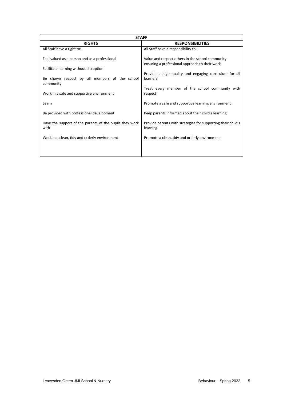| <b>STAFF</b>                                                    |                                                                                                    |  |  |
|-----------------------------------------------------------------|----------------------------------------------------------------------------------------------------|--|--|
| <b>RIGHTS</b>                                                   | <b>RESPONSIBILITIES</b>                                                                            |  |  |
| All Staff have a right to:-                                     | All Staff have a responsibility to:-                                                               |  |  |
| Feel valued as a person and as a professional                   | Value and respect others in the school community<br>ensuring a professional approach to their work |  |  |
| Facilitate learning without disruption                          |                                                                                                    |  |  |
| Be shown respect by all members of the school<br>community      | Provide a high quality and engaging curriculum for all<br>learners                                 |  |  |
| Work in a safe and supportive environment                       | Treat every member of the school community with<br>respect                                         |  |  |
| Learn                                                           | Promote a safe and supportive learning environment                                                 |  |  |
| Be provided with professional development                       | Keep parents informed about their child's learning                                                 |  |  |
| Have the support of the parents of the pupils they work<br>with | Provide parents with strategies for supporting their child's<br>learning                           |  |  |
| Work in a clean, tidy and orderly environment                   | Promote a clean, tidy and orderly environment                                                      |  |  |
|                                                                 |                                                                                                    |  |  |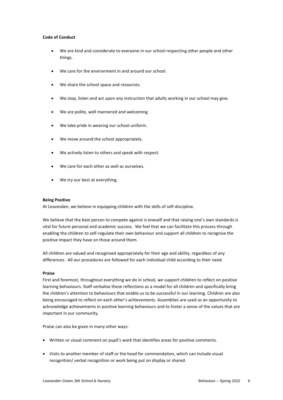# **Code of Conduct**

- We are kind and considerate to everyone in our school respecting other people and other things.
- We care for the environment in and around our school.
- We share the school space and resources.
- We stop, listen and act upon any instruction that adults working in our school may give.
- We are polite, well mannered and welcoming.
- We take pride in wearing our school uniform.
- We move around the school appropriately.
- We actively listen to others and speak with respect.
- We care for each other as well as ourselves.
- We try our best at everything.

#### **Being Positive**

At Leavesden, we believe in equipping children with the skills of self-discipline.

We believe that the best person to compete against is oneself and that raising one's own standards is vital for future personal and academic success. We feel that we can facilitate this process through enabling the children to self-regulate their own behaviour and support all children to recognise the positive impact they have on those around them.

All children are valued and recognised appropriately for their age and ability, regardless of any differences. All our procedures are followed for each individual child according to their need.

#### **Praise**

First and foremost, throughout everything we do in school, we support children to reflect on positive learning behaviours. Staff verbalise these reflections as a model for all children and specifically bring the children's attention to behaviours that enable us to be successful in our learning. Children are also being encouraged to reflect on each other's achievements. Assemblies are used as an opportunity to acknowledge achievements in positive learning behaviours and to foster a sense of the values that are important in our community.

Praise can also be given in many other ways:

- Written or visual comment on pupil's work that identifies areas for positive comments.
- Visits to another member of staff or the head for commendation, which can include visual recognition/ verbal recognition or work being put on display or shared.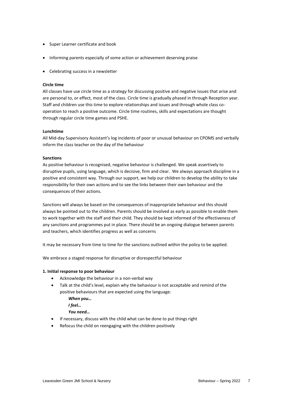- Super Learner certificate and book
- Informing parents especially of some action or achievement deserving praise
- Celebrating success in a newsletter

# **Circle time**

All classes have use circle time as a strategy for discussing positive and negative issues that arise and are personal to, or effect, most of the class. Circle time is gradually phased in through Reception year. Staff and children use this time to explore relationships and issues and through whole class cooperation to reach a positive outcome. Circle time routines, skills and expectations are thought through regular circle time games and PSHE.

#### **Lunchtime**

All Mid-day Supervisory Assistant's log incidents of poor or unusual behaviour on CPOMS and verbally inform the class teacher on the day of the behaviour

#### **Sanctions**

As positive behaviour is recognised, negative behaviour is challenged. We speak assertively to disruptive pupils, using language, which is decisive, firm and clear. We always approach discipline in a positive and consistent way. Through our support, we help our children to develop the ability to take responsibility for their own actions and to see the links between their own behaviour and the consequences of their actions.

Sanctions will always be based on the consequences of inappropriate behaviour and this should always be pointed out to the children. Parents should be involved as early as possible to enable them to work together with the staff and their child. They should be kept informed of the effectiveness of any sanctions and programmes put in place. There should be an ongoing dialogue between parents and teachers, which identifies progress as well as concerns

It may be necessary from time to time for the sanctions outlined within the policy to be applied.

We embrace a staged response for disruptive or disrespectful behaviour

#### **1. Initial response to poor behaviour**

- Acknowledge the behaviour in a non-verbal way
- Talk at the child's level, explain why the behaviour is not acceptable and remind of the positive behaviours that are expected using the language:

*When you…* 

*I feel…* 

*You need…* 

- If necessary, discuss with the child what can be done to put things right
- Refocus the child on reengaging with the children positively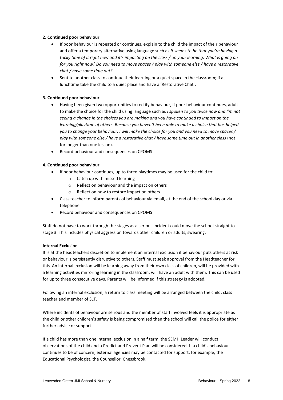# **2. Continued poor behaviour**

- If poor behaviour is repeated or continues, explain to the child the impact of their behaviour and offer a temporary alternative using language such as *It seems to be that you're having a tricky time of it right now and it's impacting on the class / on your learning. What is going on for you right now? Do you need to move spaces / play with someone else / have a restorative chat / have some time out?*
- Sent to another class to continue their learning or a quiet space in the classroom; if at lunchtime take the child to a quiet place and have a 'Restorative Chat'.

# **3. Continued poor behaviour**

- Having been given two opportunities to rectify behaviour, if poor behaviour continues, adult to make the choice for the child using language such as *I spoken to you twice now and I'm not seeing a change in the choices you are making and you have continued to impact on the learning/playtime of others. Because you haven't been able to make a choice that has helped you to change your behaviour, I will make the choice for you and you need to move spaces / play with someone else / have a restorative chat / have some time out in another class* (not for longer than one lesson).
- Record behaviour and consequences on CPOMS

# **4. Continued poor behaviour**

- If poor behaviour continues, up to three playtimes may be used for the child to:
	- o Catch up with missed learning
	- o Reflect on behaviour and the impact on others
	- Reflect on how to restore impact on others
- Class teacher to inform parents of behaviour via email, at the end of the school day or via telephone
- Record behaviour and consequences on CPOMS

Staff do not have to work through the stages as a serious incident could move the school straight to stage 3. This includes physical aggression towards other children or adults, swearing.

# **Internal Exclusion**

It is at the headteachers discretion to implement an internal exclusion if behaviour puts others at risk or behaviour is persistently disruptive to others. Staff must seek approval from the Headteacher for this. An internal exclusion will be learning away from their own class of children, will be provided with a learning activities mirroring learning in the classroom, will have an adult with them. This can be used for up to three consecutive days. Parents will be informed if this strategy is adopted.

Following an internal exclusion, a return to class meeting will be arranged between the child, class teacher and member of SLT.

Where incidents of behaviour are serious and the member of staff involved feels it is appropriate as the child or other children's safety is being compromised then the school will call the police for either further advice or support.

If a child has more than one internal exclusion in a half term, the SEMH Leader will conduct observations of the child and a Predict and Prevent Plan will be considered. If a child's behaviour continues to be of concern, external agencies may be contacted for support, for example, the Educational Psychologist, the Counsellor, Chessbrook.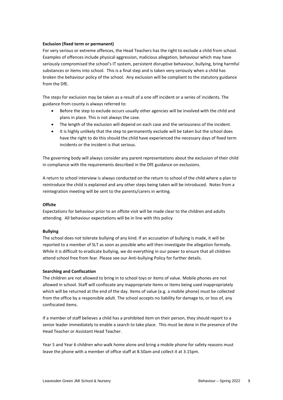# **Exclusion (fixed term or permanent)**

For very serious or extreme offences, the Head Teachers has the right to exclude a child from school. Examples of offences include physical aggression, malicious allegation, behaviour which may have seriously compromised the school's IT system, persistent disruptive behaviour, bullying, bring harmful substances or items into school. This is a final step and is taken very seriously when a child has broken the behaviour policy of the school. Any exclusion will be compliant to the statutory guidance from the DfE.

The steps for exclusion may be taken as a result of a one off incident or a series of incidents. The guidance from county is always referred to:

- Before the step to exclude occurs usually other agencies will be involved with the child and plans in place. This is not always the case.
- The length of the exclusion will depend on each case and the seriousness of the incident.
- It is highly unlikely that the step to permanently exclude will be taken but the school does have the right to do this should the child have experienced the necessary days of fixed term incidents or the incident is that serious.

The governing body will always consider any parent representations about the exclusion of their child in compliance with the requirements described in the DfE guidance on exclusions.

A return to school interview is always conducted on the return to school of the child where a plan to reintroduce the child is explained and any other steps being taken will be introduced. Notes from a reintegration meeting will be sent to the parents/carers in writing.

#### **Offsite**

Expectations for behaviour prior to an offsite visit will be made clear to the children and adults attending. All behaviour expectations will be in line with this policy

#### **Bullying**

The school does not tolerate bullying of any kind. If an accusation of bullying is made, it will be reported to a member of SLT as soon as possible who will then investigate the allegation formally. While it is difficult to eradicate bullying, we do everything in our power to ensure that all children attend school free from fear. Please see our Anti-bullying Policy for further details.

#### **Searching and Confiscation**

The children are not allowed to bring in to school toys or items of value. Mobile phones are not allowed in school. Staff will confiscate any inappropriate items or items being used inappropriately which will be returned at the end of the day. Items of value (e.g. a mobile phone) must be collected from the office by a responsible adult. The school accepts no liability for damage to, or loss of, any confiscated items.

If a member of staff believes a child has a prohibited item on their person, they should report to a senior leader immediately to enable a search to take place. This must be done in the presence of the Head Teacher or Assistant Head Teacher.

Year 5 and Year 6 children who walk home alone and bring a mobile phone for safety reasons must leave the phone with a member of office staff at 8.50am and collect it at 3.15pm.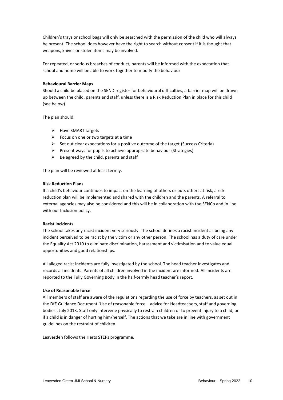Children's trays or school bags will only be searched with the permission of the child who will always be present. The school does however have the right to search without consent if it is thought that weapons, knives or stolen items may be involved.

For repeated, or serious breaches of conduct, parents will be informed with the expectation that school and home will be able to work together to modify the behaviour

## **Behavioural Barrier Maps**

Should a child be placed on the SEND register for behavioural difficulties, a barrier map will be drawn up between the child, parents and staff, unless there is a Risk Reduction Plan in place for this child (see below).

The plan should:

- $\triangleright$  Have SMART targets
- $\triangleright$  Focus on one or two targets at a time
- $\triangleright$  Set out clear expectations for a positive outcome of the target (Success Criteria)
- $\triangleright$  Present ways for pupils to achieve appropriate behaviour (Strategies)
- $\triangleright$  Be agreed by the child, parents and staff

The plan will be reviewed at least termly.

#### **Risk Reduction Plans**

If a child's behaviour continues to impact on the learning of others or puts others at risk, a risk reduction plan will be implemented and shared with the children and the parents. A referral to external agencies may also be considered and this will be in collaboration with the SENCo and in line with our Inclusion policy.

# **Racist incidents**

The school takes any racist incident very seriously. The school defines a racist incident as being any incident perceived to be racist by the victim or any other person. The school has a duty of care under the Equality Act 2010 to eliminate discrimination, harassment and victimisation and to value equal opportunities and good relationships.

All alleged racist incidents are fully investigated by the school. The head teacher investigates and records all incidents. Parents of all children involved in the incident are informed. All incidents are reported to the Fully Governing Body in the half-termly head teacher's report.

# **Use of Reasonable force**

All members of staff are aware of the regulations regarding the use of force by teachers, as set out in the DfE Guidance Document 'Use of reasonable force – advice for Headteachers, staff and governing bodies', July 2013. Staff only intervene physically to restrain children or to prevent injury to a child, or if a child is in danger of hurting him/herself. The actions that we take are in line with government guidelines on the restraint of children.

Leavesden follows the Herts STEPs programme.